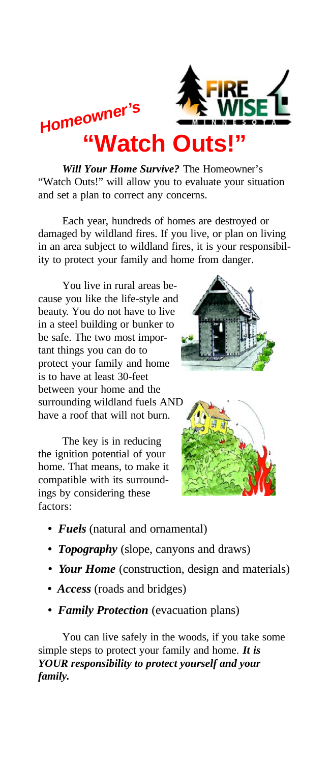

# **"Watch Outs!"** *Homeowner's*

*Will Your Home Survive?* The Homeowner's "Watch Outs!" will allow you to evaluate your situation and set a plan to correct any concerns.

Each year, hundreds of homes are destroyed or damaged by wildland fires. If you live, or plan on living in an area subject to wildland fires, it is your responsibility to protect your family and home from danger.

You live in rural areas because you like the life-style and beauty. You do not have to live in a steel building or bunker to be safe. The two most important things you can do to protect your family and home is to have at least 30-feet between your home and the surrounding wildland fuels AND have a roof that will not burn.

The key is in reducing the ignition potential of your home. That means, to make it compatible with its surroundings by considering these factors:





- *Fuels* (natural and ornamental)
- *Topography* (slope, canyons and draws)
- *Your Home* (construction, design and materials)
- *Access* (roads and bridges)
- *Family Protection* (evacuation plans)

You can live safely in the woods, if you take some simple steps to protect your family and home. *It is YOUR responsibility to protect yourself and your family.*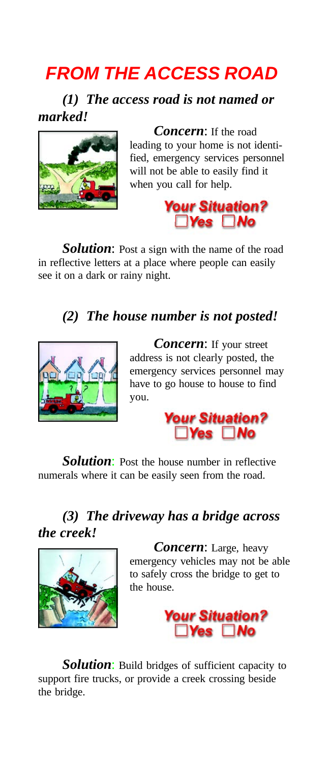# *FROM THE ACCESS ROAD*

*(1) The access road is not named or marked!*



*Concern*: If the road leading to your home is not identified, emergency services personnel will not be able to easily find it when you call for help.



**Solution:** Post a sign with the name of the road in reflective letters at a place where people can easily see it on a dark or rainy night.

#### *(2) The house number is not posted!*



*Concern*: If your street address is not clearly posted, the emergency services personnel may have to go house to house to find you.



**Solution:** Post the house number in reflective numerals where it can be easily seen from the road.

#### *(3) The driveway has a bridge across the creek!*



*Concern*: Large, heavy emergency vehicles may not be able to safely cross the bridge to get to the house.



**Solution:** Build bridges of sufficient capacity to support fire trucks, or provide a creek crossing beside the bridge.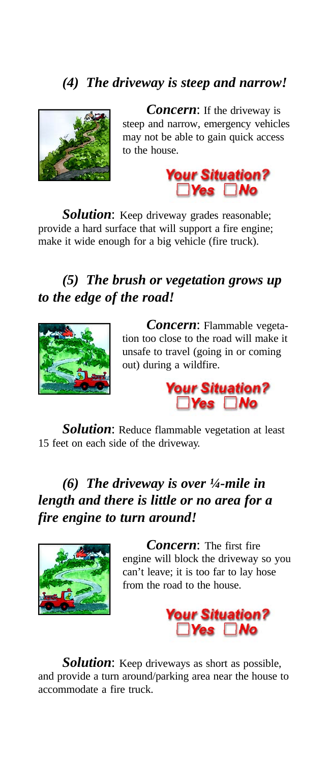### *(4) The driveway is steep and narrow!*



*Concern*: If the driveway is steep and narrow, emergency vehicles may not be able to gain quick access to the house.



**Solution:** Keep driveway grades reasonable; provide a hard surface that will support a fire engine; make it wide enough for a big vehicle (fire truck).

#### *(5) The brush or vegetation grows up to the edge of the road!*



*Concern*: Flammable vegetation too close to the road will make it unsafe to travel (going in or coming out) during a wildfire.



*Solution*: Reduce flammable vegetation at least 15 feet on each side of the driveway.

#### *(6) The driveway is over ¼-mile in length and there is little or no area for a fire engine to turn around!*



*Concern*: The first fire engine will block the driveway so you can't leave; it is too far to lay hose from the road to the house.



*Solution*: Keep driveways as short as possible, and provide a turn around/parking area near the house to accommodate a fire truck.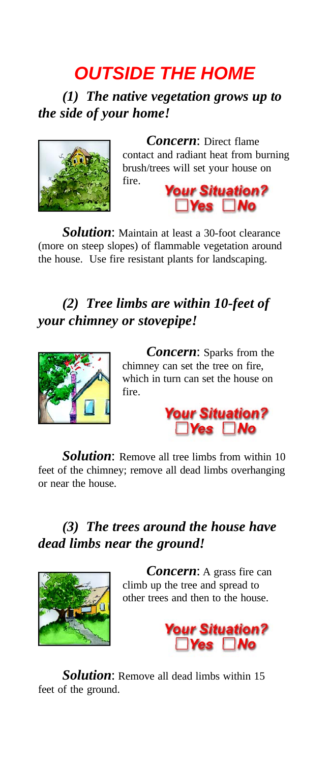# *OUTSIDE THE HOME*

*(1) The native vegetation grows up to the side of your home!*



*Concern*: Direct flame contact and radiant heat from burning brush/trees will set your house on fire.



**Solution:** Maintain at least a 30-foot clearance (more on steep slopes) of flammable vegetation around the house. Use fire resistant plants for landscaping.

### *(2) Tree limbs are within 10-feet of your chimney or stovepipe!*



*Concern*: Sparks from the chimney can set the tree on fire, which in turn can set the house on fire.



*Solution*: Remove all tree limbs from within 10 feet of the chimney; remove all dead limbs overhanging or near the house.

### *(3) The trees around the house have dead limbs near the ground!*



*Concern*: A grass fire can climb up the tree and spread to other trees and then to the house.



*Solution*: Remove all dead limbs within 15 feet of the ground.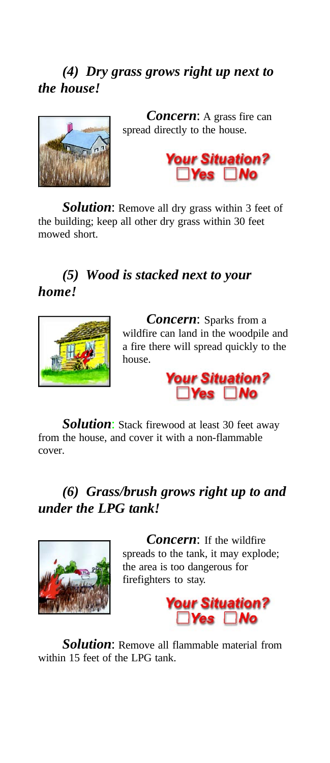#### *(4) Dry grass grows right up next to the house!*



*Concern*: A grass fire can spread directly to the house.



*Solution*: Remove all dry grass within 3 feet of the building; keep all other dry grass within 30 feet mowed short.

#### *(5) Wood is stacked next to your home!*



*Concern*: Sparks from a wildfire can land in the woodpile and a fire there will spread quickly to the house.



**Solution:** Stack firewood at least 30 feet away from the house, and cover it with a non-flammable cover.

#### *(6) Grass/brush grows right up to and under the LPG tank!*



*Concern*: If the wildfire spreads to the tank, it may explode; the area is too dangerous for firefighters to stay.



*Solution*: Remove all flammable material from within 15 feet of the LPG tank.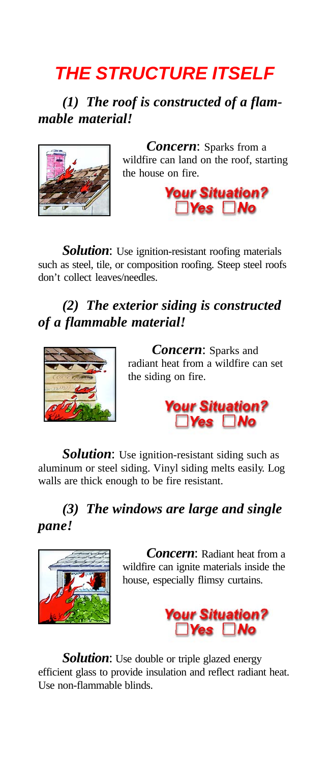# *THE STRUCTURE ITSELF*

*(1) The roof is constructed of a flammable material!*



*Concern*: Sparks from a wildfire can land on the roof, starting the house on fire.



**Solution:** Use ignition-resistant roofing materials such as steel, tile, or composition roofing. Steep steel roofs don't collect leaves/needles.

### *(2) The exterior siding is constructed of a flammable material!*



*Concern*: Sparks and radiant heat from a wildfire can set the siding on fire.



**Solution:** Use ignition-resistant siding such as aluminum or steel siding. Vinyl siding melts easily. Log walls are thick enough to be fire resistant.

#### *(3) The windows are large and single pane!*



*Concern*: Radiant heat from a wildfire can ignite materials inside the house, especially flimsy curtains.



*Solution*: Use double or triple glazed energy efficient glass to provide insulation and reflect radiant heat. Use non-flammable blinds.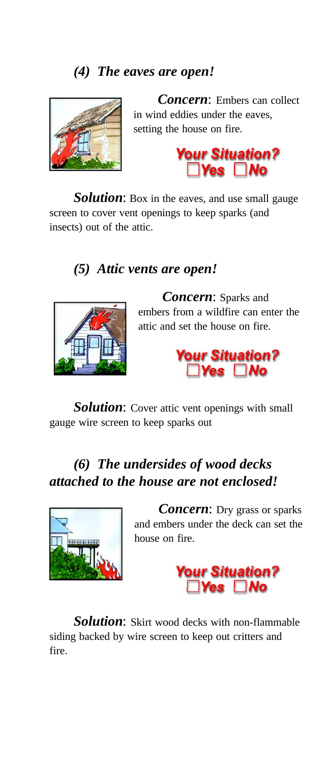#### *(4) The eaves are open!*



*Concern*: Embers can collect in wind eddies under the eaves, setting the house on fire.



**Solution:** Box in the eaves, and use small gauge screen to cover vent openings to keep sparks (and insects) out of the attic.

#### *(5) Attic vents are open!*



*Concern*: Sparks and embers from a wildfire can enter the attic and set the house on fire.



*Solution*: Cover attic vent openings with small gauge wire screen to keep sparks out

#### *(6) The undersides of wood decks attached to the house are not enclosed!*



*Concern*: Dry grass or sparks and embers under the deck can set the house on fire.



*Solution*: Skirt wood decks with non-flammable siding backed by wire screen to keep out critters and fire.